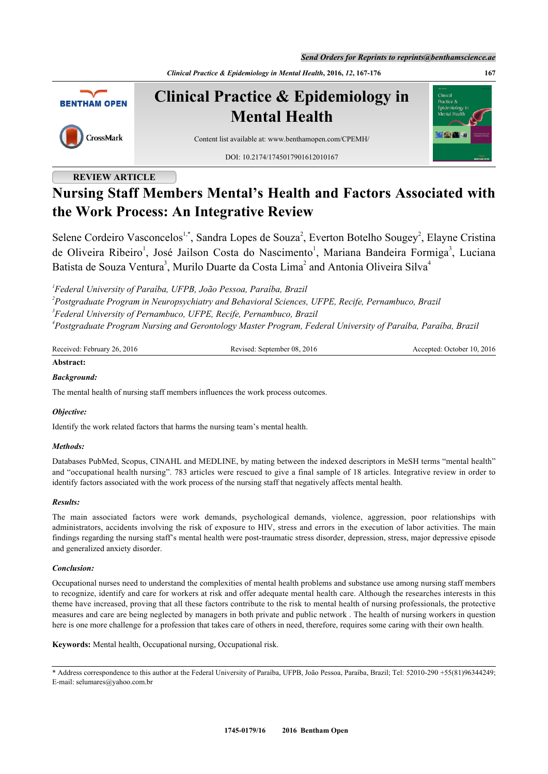*Send Orders for Reprints to reprints@benthamscience.ae*

*Clinical Practice & Epidemiology in Mental Health***, 2016,** *12***, 167-176 167**



# **REVIEW ARTICLE**

# **Nursing Staff Members Mental's Health and Factors Associated with the Work Process: An Integrative Review**

Selene Cordeiro Vasconcelos<sup>[1](#page-0-0),[\\*](#page-0-1)</sup>, Sandra Lopes de Souza<sup>[2](#page-0-2)</sup>, Everton Botelho Sougey<sup>2</sup>, Elayne Cristina de Oliveira Ribeiro<sup>[1](#page-0-0)</sup>, José Jailson Costa do Nascimento<sup>1</sup>, Mariana Bandeira Formiga<sup>[3](#page-0-3)</sup>, Luciana Batista de Souza Ventura<sup>[3](#page-0-3)</sup>, Murilo Duarte da Costa Lima<sup>[2](#page-0-2)</sup> and Antonia Oliveira Silva<sup>[4](#page-0-4)</sup>

<span id="page-0-0"></span>*1 Federal University of Paraíba, UFPB, João Pessoa, Paraíba, Brazil*

<span id="page-0-2"></span>*2 Postgraduate Program in Neuropsychiatry and Behavioral Sciences, UFPE, Recife, Pernambuco, Brazil*

<span id="page-0-3"></span>*3 Federal University of Pernambuco, UFPE, Recife, Pernambuco, Brazil*

<span id="page-0-4"></span>*4 Postgraduate Program Nursing and Gerontology Master Program, Federal University of Paraíba, Paraíba, Brazil*

| Received: February 26, 2016 | Revised: September 08, 2016 | Accepted: October 10, 2016 |
|-----------------------------|-----------------------------|----------------------------|
| Abstract:                   |                             |                            |

### *Background:*

The mental health of nursing staff members influences the work process outcomes.

### *Objective:*

Identify the work related factors that harms the nursing team's mental health.

### *Methods:*

Databases PubMed, Scopus, CINAHL and MEDLINE, by mating between the indexed descriptors in MeSH terms "mental health" and "occupational health nursing". 783 articles were rescued to give a final sample of 18 articles. Integrative review in order to identify factors associated with the work process of the nursing staff that negatively affects mental health.

### *Results:*

The main associated factors were work demands, psychological demands, violence, aggression, poor relationships with administrators, accidents involving the risk of exposure to HIV, stress and errors in the execution of labor activities. The main findings regarding the nursing staff's mental health were post-traumatic stress disorder, depression, stress, major depressive episode and generalized anxiety disorder.

### *Conclusion:*

Occupational nurses need to understand the complexities of mental health problems and substance use among nursing staff members to recognize, identify and care for workers at risk and offer adequate mental health care. Although the researches interests in this theme have increased, proving that all these factors contribute to the risk to mental health of nursing professionals, the protective measures and care are being neglected by managers in both private and public network . The health of nursing workers in question here is one more challenge for a profession that takes care of others in need, therefore, requires some caring with their own health.

**Keywords:** Mental health, Occupational nursing, Occupational risk.

<span id="page-0-1"></span>\* Address correspondence to this author at the Federal University of Paraíba, UFPB, João Pessoa, Paraíba, Brazil; Tel: 52010-290 +55(81)96344249; E-mail: [selumares@yahoo.com.br](mailto:selumares@yahoo.com.br)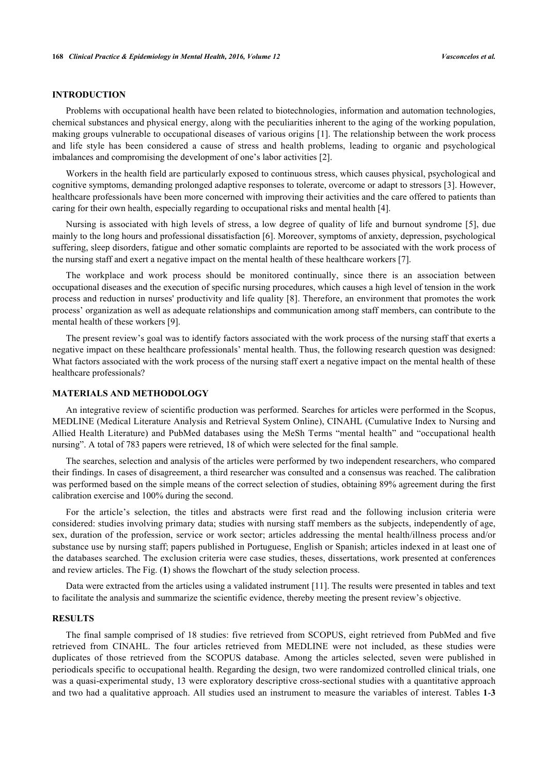### **INTRODUCTION**

Problems with occupational health have been related to biotechnologies, information and automation technologies, chemical substances and physical energy, along with the peculiarities inherent to the aging of the working population, making groups vulnerable to occupational diseases of various origins [[1](#page-7-0)]. The relationship between the work process and life style has been considered a cause of stress and health problems, leading to organic and psychological imbalances and compromising the development of one's labor activities [\[2](#page-7-1)].

Workers in the health field are particularly exposed to continuous stress, which causes physical, psychological and cognitive symptoms, demanding prolonged adaptive responses to tolerate, overcome or adapt to stressors [[3\]](#page-7-2). However, healthcare professionals have been more concerned with improving their activities and the care offered to patients than caring for their own health, especially regarding to occupational risks and mental health [[4\]](#page-7-3).

Nursing is associated with high levels of stress, a low degree of quality of life and burnout syndrome [\[5](#page-7-4)], due mainly to the long hours and professional dissatisfaction [\[6](#page-7-5)]. Moreover, symptoms of anxiety, depression, psychological suffering, sleep disorders, fatigue and other somatic complaints are reported to be associated with the work process of the nursing staff and exert a negative impact on the mental health of these healthcare workers [\[7](#page-7-6)].

The workplace and work process should be monitored continually, since there is an association between occupational diseases and the execution of specific nursing procedures, which causes a high level of tension in the work process and reduction in nurses' productivity and life quality [[8](#page-7-7)]. Therefore, an environment that promotes the work process' organization as well as adequate relationships and communication among staff members, can contribute to the mental health of these workers [\[9](#page-7-8)].

The present review's goal was to identify factors associated with the work process of the nursing staff that exerts a negative impact on these healthcare professionals' mental health. Thus, the following research question was designed: What factors associated with the work process of the nursing staff exert a negative impact on the mental health of these healthcare professionals?

### **MATERIALS AND METHODOLOGY**

An integrative review of scientific production was performed. Searches for articles were performed in the Scopus, MEDLINE (Medical Literature Analysis and Retrieval System Online), CINAHL (Cumulative Index to Nursing and Allied Health Literature) and PubMed databases using the MeSh Terms "mental health" and "occupational health nursing". A total of 783 papers were retrieved, 18 of which were selected for the final sample.

The searches, selection and analysis of the articles were performed by two independent researchers, who compared their findings. In cases of disagreement, a third researcher was consulted and a consensus was reached. The calibration was performed based on the simple means of the correct selection of studies, obtaining 89% agreement during the first calibration exercise and 100% during the second.

For the article's selection, the titles and abstracts were first read and the following inclusion criteria were considered: studies involving primary data; studies with nursing staff members as the subjects, independently of age, sex, duration of the profession, service or work sector; articles addressing the mental health/illness process and/or substance use by nursing staff; papers published in Portuguese, English or Spanish; articles indexed in at least one of the databases searched. The exclusion criteria were case studies, theses, dissertations, work presented at conferences and review articles. The Fig. (**[1](#page-2-0)**) shows the flowchart of the study selection process.

Data were extracted from the articles using a validated instrument [[11](#page-7-9)]. The results were presented in tables and text to facilitate the analysis and summarize the scientific evidence, thereby meeting the present review's objective.

### **RESULTS**

The final sample comprised of 18 studies: five retrieved from SCOPUS, eight retrieved from PubMed and five retrieved from CINAHL. The four articles retrieved from MEDLINE were not included, as these studies were duplicates of those retrieved from the SCOPUS database. Among the articles selected, seven were published in periodicals specific to occupational health. Regarding the design, two were randomized controlled clinical trials, one was a quasi-experimental study, 13 were exploratory descriptive cross-sectional studies with a quantitative approach and two had a qualitative approach. All studies used an instrument to measure the variables of interest. Tables **[1](#page-2-1)**-**[3](#page-4-0)**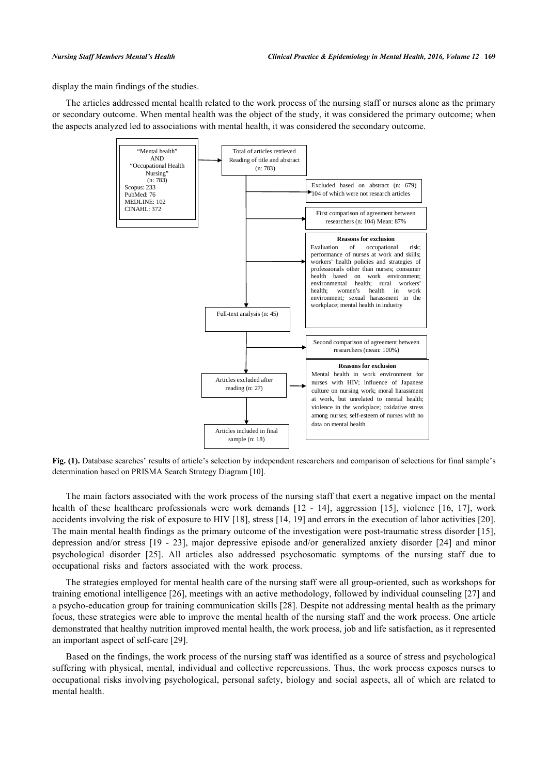display the main findings of the studies.

<span id="page-2-0"></span>The articles addressed mental health related to the work process of the nursing staff or nurses alone as the primary or secondary outcome. When mental health was the object of the study, it was considered the primary outcome; when the aspects analyzed led to associations with mental health, it was considered the secondary outcome.



**Fig. (1).** Database searches' results of article's selection by independent researchers and comparison of selections for final sample's determination based on PRISMA Search Strategy Diagram [\[10](#page-7-10)].

The main factors associated with the work process of the nursing staff that exert a negative impact on the mental healthof these healthcare professionals were work demands [[12](#page-7-11) - [14](#page-7-12)], aggression [[15](#page-8-0)], violence [[16](#page-8-1), [17](#page-8-2)], work accidents involving the risk of exposure to HIV [[18\]](#page-8-3), stress [\[14](#page-7-12), [19](#page-8-4)] and errors in the execution of labor activities [[20\]](#page-8-5). The main mental health findings as the primary outcome of the investigation were post-traumatic stress disorder [[15\]](#page-8-0), depression and/or stress[[19](#page-8-4) - [23](#page-8-6)], major depressive episode and/or generalized anxiety disorder [\[24\]](#page-8-7) and minor psychological disorder[[25\]](#page-8-8). All articles also addressed psychosomatic symptoms of the nursing staff due to occupational risks and factors associated with the work process.

The strategies employed for mental health care of the nursing staff were all group-oriented, such as workshops for training emotional intelligence [\[26](#page-8-9)], meetings with an active methodology, followed by individual counseling [[27\]](#page-8-10) and a psycho-education group for training communication skills [\[28\]](#page-8-11). Despite not addressing mental health as the primary focus, these strategies were able to improve the mental health of the nursing staff and the work process. One article demonstrated that healthy nutrition improved mental health, the work process, job and life satisfaction, as it represented an important aspect of self-care [[29\]](#page-8-12).

<span id="page-2-1"></span>Based on the findings, the work process of the nursing staff was identified as a source of stress and psychological suffering with physical, mental, individual and collective repercussions. Thus, the work process exposes nurses to occupational risks involving psychological, personal safety, biology and social aspects, all of which are related to mental health.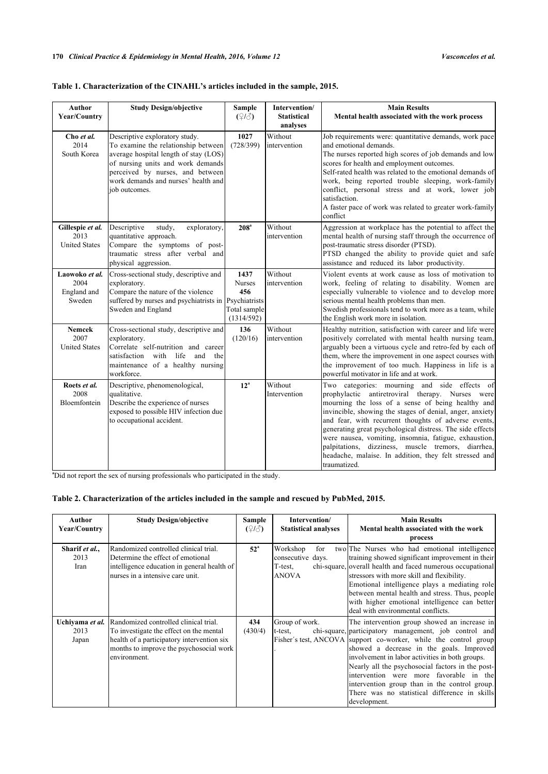| <b>Author</b><br>Year/Country                    | <b>Study Design/objective</b>                                                                                                                                                                                                                   | <b>Sample</b><br>(2/3)                                     | Intervention/<br><b>Statistical</b><br>analyses | <b>Main Results</b><br>Mental health associated with the work process                                                                                                                                                                                                                                                                                                                                                                                                                                                           |
|--------------------------------------------------|-------------------------------------------------------------------------------------------------------------------------------------------------------------------------------------------------------------------------------------------------|------------------------------------------------------------|-------------------------------------------------|---------------------------------------------------------------------------------------------------------------------------------------------------------------------------------------------------------------------------------------------------------------------------------------------------------------------------------------------------------------------------------------------------------------------------------------------------------------------------------------------------------------------------------|
| Cho et al.<br>2014<br>South Korea                | Descriptive exploratory study.<br>To examine the relationship between<br>average hospital length of stay (LOS)<br>of nursing units and work demands<br>perceived by nurses, and between<br>work demands and nurses' health and<br>iob outcomes. | 1027<br>(728/399)                                          | Without<br>intervention                         | Job requirements were: quantitative demands, work pace<br>and emotional demands.<br>The nurses reported high scores of job demands and low<br>scores for health and employment outcomes.<br>Self-rated health was related to the emotional demands of<br>work, being reported trouble sleeping, work-family<br>conflict, personal stress and at work, lower job<br>satisfaction.<br>A faster pace of work was related to greater work-family<br>conflict                                                                        |
| Gillespie et al.<br>2013<br><b>United States</b> | Descriptive<br>study,<br>exploratory,<br>quantitative approach.<br>Compare the symptoms of post-<br>traumatic stress after verbal and<br>physical aggression.                                                                                   | $208^{\circ}$                                              | Without<br>intervention                         | Aggression at workplace has the potential to affect the<br>mental health of nursing staff through the occurrence of<br>post-traumatic stress disorder (PTSD).<br>PTSD changed the ability to provide quiet and safe<br>assistance and reduced its labor productivity.                                                                                                                                                                                                                                                           |
| Laowoko et al.<br>2004<br>England and<br>Sweden  | Cross-sectional study, descriptive and<br>exploratory.<br>Compare the nature of the violence<br>suffered by nurses and psychiatrists in Psychiatrists<br>Sweden and England                                                                     | 1437<br><b>Nurses</b><br>456<br>Total sample<br>(1314/592) | Without<br>intervention                         | Violent events at work cause as loss of motivation to<br>work, feeling of relating to disability. Women are<br>especially vulnerable to violence and to develop more<br>serious mental health problems than men.<br>Swedish professionals tend to work more as a team, while<br>the English work more in isolation.                                                                                                                                                                                                             |
| <b>Nemcek</b><br>2007<br><b>United States</b>    | Cross-sectional study, descriptive and<br>exploratory.<br>Correlate self-nutrition and career<br>satisfaction with life and the<br>maintenance of a healthy nursing<br>workforce.                                                               | 136<br>(120/16)                                            | Without<br>intervention                         | Healthy nutrition, satisfaction with career and life were<br>positively correlated with mental health nursing team,<br>arguably been a virtuous cycle and retro-fed by each of<br>them, where the improvement in one aspect courses with<br>the improvement of too much. Happiness in life is a<br>powerful motivator in life and at work.                                                                                                                                                                                      |
| Roets et al.<br>2008<br>Bloemfontein             | Descriptive, phenomenological,<br>qualitative.<br>Describe the experience of nurses<br>exposed to possible HIV infection due<br>to occupational accident.                                                                                       | 12 <sup>a</sup>                                            | Without<br>Intervention                         | Two categories: mourning and side effects of<br>prophylactic antiretroviral therapy. Nurses were<br>mourning the loss of a sense of being healthy and<br>invincible, showing the stages of denial, anger, anxiety<br>and fear, with recurrent thoughts of adverse events,<br>generating great psychological distress. The side effects<br>were nausea, vomiting, insomnia, fatigue, exhaustion,<br>palpitations, dizziness, muscle tremors, diarrhea,<br>headache, malaise. In addition, they felt stressed and<br>traumatized. |

<sup>a</sup>Did not report the sex of nursing professionals who participated in the study.

# **Table 2. Characterization of the articles included in the sample and rescued by PubMed, 2015.**

| Author<br><b>Year/Country</b>    | <b>Study Design/objective</b>                                                                                                                                                             | Sample<br>(2/3) | Intervention/<br><b>Statistical analyses</b>                    | <b>Main Results</b><br>Mental health associated with the work<br>process                                                                                                                                                                                                                                                                                                                                                                                                                  |
|----------------------------------|-------------------------------------------------------------------------------------------------------------------------------------------------------------------------------------------|-----------------|-----------------------------------------------------------------|-------------------------------------------------------------------------------------------------------------------------------------------------------------------------------------------------------------------------------------------------------------------------------------------------------------------------------------------------------------------------------------------------------------------------------------------------------------------------------------------|
| Sharif et al.,<br>2013<br>Iran   | Randomized controlled clinical trial.<br>Determine the effect of emotional<br>intelligence education in general health of<br>nurses in a intensive care unit.                             | $52^{\circ}$    | Workshop<br>for<br>consecutive days.<br>T-test,<br><b>ANOVA</b> | two The Nurses who had emotional intelligence<br>training showed significant improvement in their<br>chi-square, overall health and faced numerous occupational<br>stressors with more skill and flexibility.<br>Emotional intelligence plays a mediating role<br>between mental health and stress. Thus, people<br>with higher emotional intelligence can better<br>deal with environmental conflicts.                                                                                   |
| Uchivama et al.<br>2013<br>Japan | Randomized controlled clinical trial.<br>To investigate the effect on the mental<br>health of a participatory intervention six<br>months to improve the psychosocial work<br>environment. | 434<br>(430/4)  | Group of work.<br>t-test.                                       | The intervention group showed an increase in<br>chi-square, participatory management, job control and<br>Fisher's test, ANCOVA support co-worker, while the control group<br>showed a decrease in the goals. Improved<br>involvement in labor activities in both groups.<br>Nearly all the psychosocial factors in the post-<br>intervention were more favorable in the<br>intervention group than in the control group.<br>There was no statistical difference in skills<br>development. |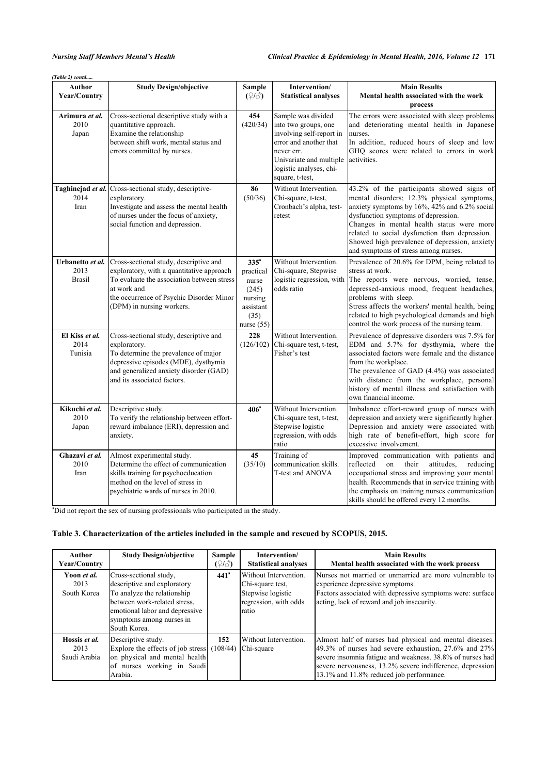| (Table 2) contd                           |                                                                                                                                                                                                                           |                                                                                              |                                                                                                                                                                                         |                                                                                                                                                                                                                                                                                                                                                                        |
|-------------------------------------------|---------------------------------------------------------------------------------------------------------------------------------------------------------------------------------------------------------------------------|----------------------------------------------------------------------------------------------|-----------------------------------------------------------------------------------------------------------------------------------------------------------------------------------------|------------------------------------------------------------------------------------------------------------------------------------------------------------------------------------------------------------------------------------------------------------------------------------------------------------------------------------------------------------------------|
| <b>Author</b><br><b>Year/Country</b>      | <b>Study Design/objective</b>                                                                                                                                                                                             | Sample<br>(2/3)                                                                              | Intervention/<br><b>Statistical analyses</b>                                                                                                                                            | <b>Main Results</b><br>Mental health associated with the work<br>process                                                                                                                                                                                                                                                                                               |
| Arimura et al.<br>2010<br>Japan           | Cross-sectional descriptive study with a<br>quantitative approach.<br>Examine the relationship<br>between shift work, mental status and<br>errors committed by nurses.                                                    | 454<br>(420/34)                                                                              | Sample was divided<br>into two groups, one<br>involving self-report in<br>error and another that<br>never err.<br>Univariate and multiple<br>logistic analyses, chi-<br>square, t-test, | The errors were associated with sleep problems<br>and deteriorating mental health in Japanese<br>nurses.<br>In addition, reduced hours of sleep and low<br>GHQ scores were related to errors in work<br>activities.                                                                                                                                                    |
| 2014<br>Iran                              | Taghinejad et al. Cross-sectional study, descriptive-<br>exploratory.<br>Investigate and assess the mental health<br>of nurses under the focus of anxiety,<br>social function and depression.                             | 86<br>(50/36)                                                                                | Without Intervention.<br>Chi-square, t-test,<br>Cronbach's alpha, test-<br>retest                                                                                                       | 43.2% of the participants showed signs of<br>mental disorders; 12.3% physical symptoms,<br>anxiety symptoms by 16%, 42% and 6.2% social<br>dysfunction symptoms of depression.<br>Changes in mental health status were more<br>related to social dysfunction than depression.<br>Showed high prevalence of depression, anxiety<br>and symptoms of stress among nurses. |
| Urbanetto et al.<br>2013<br><b>Brasil</b> | Cross-sectional study, descriptive and<br>exploratory, with a quantitative approach<br>To evaluate the association between stress<br>at work and<br>the occurrence of Psychic Disorder Minor<br>(DPM) in nursing workers. | $335^{\circ}$<br>practical<br>nurse<br>(245)<br>nursing<br>assistant<br>(35)<br>nurse $(55)$ | Without Intervention.<br>Chi-square, Stepwise<br>logistic regression, with<br>odds ratio                                                                                                | Prevalence of 20.6% for DPM, being related to<br>stress at work.<br>The reports were nervous, worried, tense,<br>depressed-anxious mood, frequent headaches,<br>problems with sleep.<br>Stress affects the workers' mental health, being<br>related to high psychological demands and high<br>control the work process of the nursing team.                            |
| El Kiss et al.<br>2014<br>Tunisia         | Cross-sectional study, descriptive and<br>exploratory.<br>To determine the prevalence of major<br>depressive episodes (MDE), dysthymia<br>and generalized anxiety disorder (GAD)<br>and its associated factors.           | 228<br>(126/102)                                                                             | Without Intervention.<br>Chi-square test, t-test,<br>Fisher's test                                                                                                                      | Prevalence of depressive disorders was 7.5% for<br>EDM and 5.7% for dysthymia, where the<br>associated factors were female and the distance<br>from the workplace.<br>The prevalence of GAD (4.4%) was associated<br>with distance from the workplace, personal<br>history of mental illness and satisfaction with<br>own financial income.                            |
| Kikuchi et al.<br>2010<br>Japan           | Descriptive study.<br>To verify the relationship between effort-<br>reward imbalance (ERI), depression and<br>anxiety.                                                                                                    | 406 <sup>a</sup>                                                                             | Without Intervention.<br>Chi-square test, t-test,<br>Stepwise logistic<br>regression, with odds<br>ratio                                                                                | Imbalance effort-reward group of nurses with<br>depression and anxiety were significantly higher.<br>Depression and anxiety were associated with<br>high rate of benefit-effort, high score for<br>excessive involvement.                                                                                                                                              |
| Ghazavi et al.<br>2010<br>Iran            | Almost experimental study.<br>Determine the effect of communication<br>skills training for psychoeducation<br>method on the level of stress in<br>psychiatric wards of nurses in 2010.                                    | 45<br>(35/10)                                                                                | Training of<br>communication skills.<br>T-test and ANOVA                                                                                                                                | Improved communication with patients and<br>reflected<br>their<br>on<br>attitudes.<br>reducing<br>occupational stress and improving your mental<br>health. Recommends that in service training with<br>the emphasis on training nurses communication<br>skills should be offered every 12 months.                                                                      |

<sup>a</sup>Did not report the sex of nursing professionals who participated in the study.

# <span id="page-4-0"></span>**Table 3. Characterization of the articles included in the sample and rescued by SCOPUS, 2015.**

| Author<br>Year/Country                | <b>Study Design/objective</b>                                                                                                                                                                      | Sample<br>(2/3)  | Intervention/<br><b>Statistical analyses</b>                                                     | <b>Main Results</b><br>Mental health associated with the work process                                                                                                                                                                                                                 |
|---------------------------------------|----------------------------------------------------------------------------------------------------------------------------------------------------------------------------------------------------|------------------|--------------------------------------------------------------------------------------------------|---------------------------------------------------------------------------------------------------------------------------------------------------------------------------------------------------------------------------------------------------------------------------------------|
| Yoon et al.<br>2013<br>South Korea    | Cross-sectional study,<br>descriptive and exploratory<br>To analyze the relationship<br>between work-related stress.<br>emotional labor and depressive<br>symptoms among nurses in<br>South Korea. | 441 <sup>a</sup> | Without Intervention.<br>Chi-square test.<br>Stepwise logistic<br>regression, with odds<br>ratio | Nurses not married or unmarried are more vulnerable to<br>experience depressive symptoms.<br>Factors associated with depressive symptoms were: surface<br>acting, lack of reward and job insecurity.                                                                                  |
| Hossis et al.<br>2013<br>Saudi Arabia | Descriptive study.<br>Explore the effects of job stress (108/44) Chi-square<br>on physical and mental health<br>of nurses working in Saudi<br>Arabia.                                              | 152              | Without Intervention.                                                                            | Almost half of nurses had physical and mental diseases.<br>49.3% of nurses had severe exhaustion, 27.6% and 27%<br>severe insomnia fatigue and weakness. 38.8% of nurses had<br>severe nervousness, 13.2% severe indifference, depression<br>13.1% and 11.8% reduced job performance. |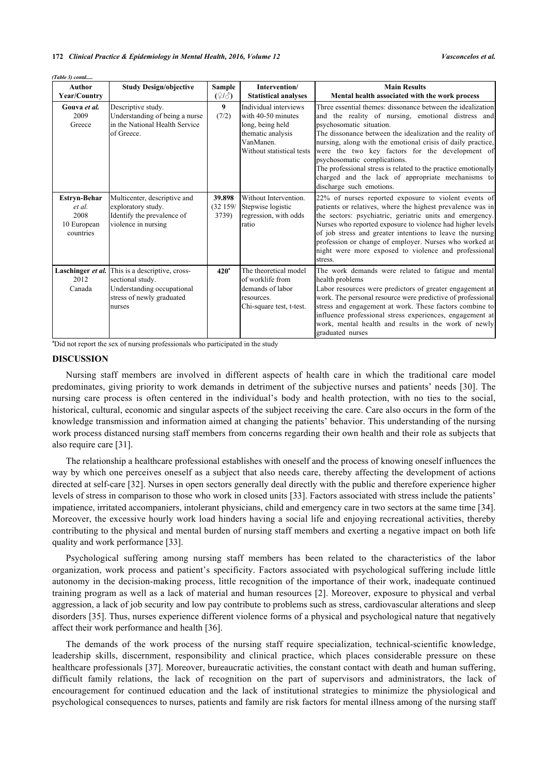| <b>Author</b>                                                     | <b>Study Design/objective</b>                                                                                                                          | Sample                     | Intervention/                                                                                                                  | <b>Main Results</b>                                                                                                                                                                                                                                                                                                                                                                                                                                                                                              |
|-------------------------------------------------------------------|--------------------------------------------------------------------------------------------------------------------------------------------------------|----------------------------|--------------------------------------------------------------------------------------------------------------------------------|------------------------------------------------------------------------------------------------------------------------------------------------------------------------------------------------------------------------------------------------------------------------------------------------------------------------------------------------------------------------------------------------------------------------------------------------------------------------------------------------------------------|
| Year/Country                                                      |                                                                                                                                                        | (2/3)                      | <b>Statistical analyses</b>                                                                                                    | Mental health associated with the work process                                                                                                                                                                                                                                                                                                                                                                                                                                                                   |
| Gouva et al.<br>2009<br>Greece                                    | Descriptive study.<br>Understanding of being a nurse<br>in the National Health Service<br>of Greece.                                                   | 9<br>(7/2)                 | Individual interviews<br>with 40-50 minutes<br>long, being held<br>thematic analysis<br>VanManen.<br>Without statistical tests | Three essential themes: dissonance between the idealization<br>and the reality of nursing, emotional distress and<br>psychosomatic situation.<br>The dissonance between the idealization and the reality of<br>nursing, along with the emotional crisis of daily practice,<br>were the two key factors for the development of<br>psychosomatic complications.<br>The professional stress is related to the practice emotionally<br>charged and the lack of appropriate mechanisms to<br>discharge such emotions. |
| <b>Estryn-Behar</b><br>et al.<br>2008<br>10 European<br>countries | Multicenter, descriptive and<br>exploratory study.<br>Identify the prevalence of<br>violence in nursing                                                | 39.898<br>(32159/<br>3739) | Without Intervention.<br>Stepwise logistic<br>regression, with odds<br>ratio                                                   | 22% of nurses reported exposure to violent events of<br>patients or relatives, where the highest prevalence was in<br>the sectors: psychiatric, geriatric units and emergency.<br>Nurses who reported exposure to violence had higher levels<br>of job stress and greater intentions to leave the nursing<br>profession or change of employer. Nurses who worked at<br>night were more exposed to violence and professional<br>stress.                                                                           |
| 2012<br>Canada                                                    | <b>Laschinger <i>et al.</i></b> This is a descriptive, cross-<br>sectional study.<br>Understanding occupational<br>stress of newly graduated<br>nurses | 420 <sup>a</sup>           | The theoretical model<br>of worklife from<br>demands of labor<br>resources.<br>Chi-square test, t-test.                        | The work demands were related to fatigue and mental<br>health problems<br>Labor resources were predictors of greater engagement at<br>work. The personal resource were predictive of professional<br>stress and engagement at work. These factors combine to<br>influence professional stress experiences, engagement at<br>work, mental health and results in the work of newly<br>graduated nurses                                                                                                             |

*(Table 3) contd.....*

<sup>a</sup>Did not report the sex of nursing professionals who participated in the study

### **DISCUSSION**

Nursing staff members are involved in different aspects of health care in which the traditional care model predominates, giving priority to work demands in detriment of the subjective nurses and patients' needs [[30](#page-8-13)]. The nursing care process is often centered in the individual's body and health protection, with no ties to the social, historical, cultural, economic and singular aspects of the subject receiving the care. Care also occurs in the form of the knowledge transmission and information aimed at changing the patients' behavior. This understanding of the nursing work process distanced nursing staff members from concerns regarding their own health and their role as subjects that also require care [[31\]](#page-8-14).

The relationship a healthcare professional establishes with oneself and the process of knowing oneself influences the way by which one perceives oneself as a subject that also needs care, thereby affecting the development of actions directed at self-care [\[32](#page-8-15)]. Nurses in open sectors generally deal directly with the public and therefore experience higher levels of stress in comparison to those who work in closed units [\[33](#page-8-16)]. Factors associated with stress include the patients' impatience, irritated accompaniers, intolerant physicians, child and emergency care in two sectors at the same time [[34\]](#page-8-17). Moreover, the excessive hourly work load hinders having a social life and enjoying recreational activities, thereby contributing to the physical and mental burden of nursing staff members and exerting a negative impact on both life quality and work performance [\[33](#page-8-16)].

Psychological suffering among nursing staff members has been related to the characteristics of the labor organization, work process and patient's specificity. Factors associated with psychological suffering include little autonomy in the decision-making process, little recognition of the importance of their work, inadequate continued training program as well as a lack of material and human resources [[2\]](#page-7-1). Moreover, exposure to physical and verbal aggression, a lack of job security and low pay contribute to problems such as stress, cardiovascular alterations and sleep disorders [[35\]](#page-8-18). Thus, nurses experience different violence forms of a physical and psychological nature that negatively affect their work performance and health [\[36](#page-8-19)].

The demands of the work process of the nursing staff require specialization, technical-scientific knowledge, leadership skills, discernment, responsibility and clinical practice, which places considerable pressure on these healthcare professionals [\[37](#page-8-20)]. Moreover, bureaucratic activities, the constant contact with death and human suffering, difficult family relations, the lack of recognition on the part of supervisors and administrators, the lack of encouragement for continued education and the lack of institutional strategies to minimize the physiological and psychological consequences to nurses, patients and family are risk factors for mental illness among of the nursing staff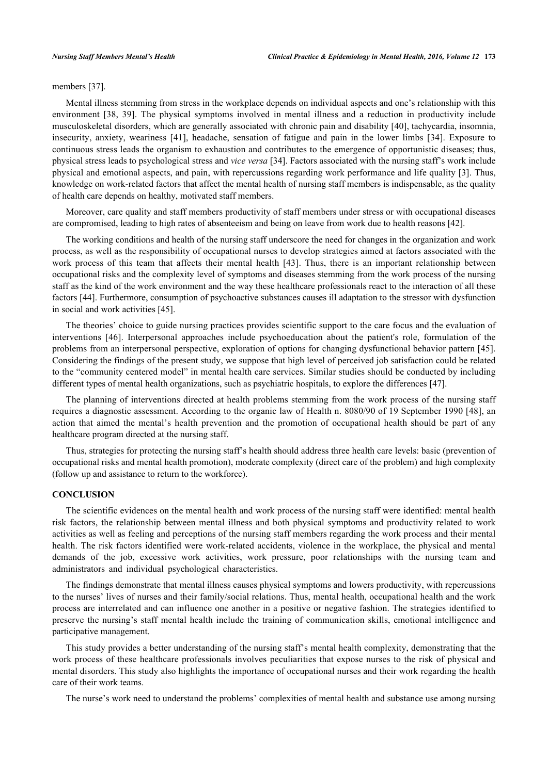members [\[37](#page-8-20)].

Mental illness stemming from stress in the workplace depends on individual aspects and one's relationship with this environment[[38](#page-9-0), [39](#page-9-1)]. The physical symptoms involved in mental illness and a reduction in productivity include musculoskeletal disorders, which are generally associated with chronic pain and disability [[40\]](#page-9-2), tachycardia, insomnia, insecurity, anxiety, weariness[[41\]](#page-9-3), headache, sensation of fatigue and pain in the lower limbs[[34\]](#page-8-17). Exposure to continuous stress leads the organism to exhaustion and contributes to the emergence of opportunistic diseases; thus, physical stress leads to psychological stress and *vice versa* [[34\]](#page-8-17). Factors associated with the nursing staff's work include physical and emotional aspects, and pain, with repercussions regarding work performance and life quality [[3\]](#page-7-2). Thus, knowledge on work-related factors that affect the mental health of nursing staff members is indispensable, as the quality of health care depends on healthy, motivated staff members.

Moreover, care quality and staff members productivity of staff members under stress or with occupational diseases are compromised, leading to high rates of absenteeism and being on leave from work due to health reasons [[42\]](#page-9-4).

The working conditions and health of the nursing staff underscore the need for changes in the organization and work process, as well as the responsibility of occupational nurses to develop strategies aimed at factors associated with the workprocess of this team that affects their mental health [[43](#page-9-5)]. Thus, there is an important relationship between occupational risks and the complexity level of symptoms and diseases stemming from the work process of the nursing staff as the kind of the work environment and the way these healthcare professionals react to the interaction of all these factors [[44\]](#page-9-6). Furthermore, consumption of psychoactive substances causes ill adaptation to the stressor with dysfunction in social and work activities [[45\]](#page-9-7).

The theories' choice to guide nursing practices provides scientific support to the care focus and the evaluation of interventions[[46](#page-9-8)]. Interpersonal approaches include psychoeducation about the patient's role, formulation of the problems from an interpersonal perspective, exploration of options for changing dysfunctional behavior pattern [\[45\]](#page-9-7). Considering the findings of the present study, we suppose that high level of perceived job satisfaction could be related to the "community centered model" in mental health care services. Similar studies should be conducted by including different types of mental health organizations, such as psychiatric hospitals, to explore the differences [[47\]](#page-9-9).

The planning of interventions directed at health problems stemming from the work process of the nursing staff requires a diagnostic assessment. According to the organic law of Health n. 8080/90 of 19 September 1990 [[48\]](#page-9-10), an action that aimed the mental's health prevention and the promotion of occupational health should be part of any healthcare program directed at the nursing staff.

Thus, strategies for protecting the nursing staff's health should address three health care levels: basic (prevention of occupational risks and mental health promotion), moderate complexity (direct care of the problem) and high complexity (follow up and assistance to return to the workforce).

### **CONCLUSION**

The scientific evidences on the mental health and work process of the nursing staff were identified: mental health risk factors, the relationship between mental illness and both physical symptoms and productivity related to work activities as well as feeling and perceptions of the nursing staff members regarding the work process and their mental health. The risk factors identified were work-related accidents, violence in the workplace, the physical and mental demands of the job, excessive work activities, work pressure, poor relationships with the nursing team and administrators and individual psychological characteristics.

The findings demonstrate that mental illness causes physical symptoms and lowers productivity, with repercussions to the nurses' lives of nurses and their family/social relations. Thus, mental health, occupational health and the work process are interrelated and can influence one another in a positive or negative fashion. The strategies identified to preserve the nursing's staff mental health include the training of communication skills, emotional intelligence and participative management.

This study provides a better understanding of the nursing staff's mental health complexity, demonstrating that the work process of these healthcare professionals involves peculiarities that expose nurses to the risk of physical and mental disorders. This study also highlights the importance of occupational nurses and their work regarding the health care of their work teams.

The nurse's work need to understand the problems' complexities of mental health and substance use among nursing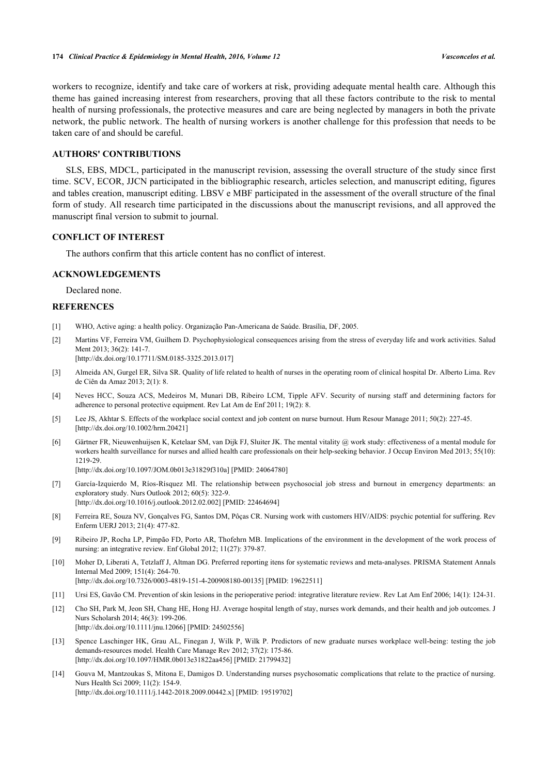workers to recognize, identify and take care of workers at risk, providing adequate mental health care. Although this theme has gained increasing interest from researchers, proving that all these factors contribute to the risk to mental health of nursing professionals, the protective measures and care are being neglected by managers in both the private network, the public network. The health of nursing workers is another challenge for this profession that needs to be taken care of and should be careful.

### **AUTHORS' CONTRIBUTIONS**

SLS, EBS, MDCL, participated in the manuscript revision, assessing the overall structure of the study since first time. SCV, ECOR, JJCN participated in the bibliographic research, articles selection, and manuscript editing, figures and tables creation, manuscript editing. LBSV e MBF participated in the assessment of the overall structure of the final form of study. All research time participated in the discussions about the manuscript revisions, and all approved the manuscript final version to submit to journal.

### **CONFLICT OF INTEREST**

The authors confirm that this article content has no conflict of interest.

### **ACKNOWLEDGEMENTS**

Declared none.

### **REFERENCES**

- <span id="page-7-0"></span>[1] WHO, Active aging: a health policy. Organização Pan-Americana de Saúde. Brasília, DF, 2005.
- <span id="page-7-1"></span>[2] Martins VF, Ferreira VM, Guilhem D. Psychophysiological consequences arising from the stress of everyday life and work activities. Salud Ment 2013; 36(2): 141-7.

[\[http://dx.doi.org/10.17711/SM.0185-3325.2013.017](http://dx.doi.org/10.17711/SM.0185-3325.2013.017)]

- <span id="page-7-2"></span>[3] Almeida AN, Gurgel ER, Silva SR. Quality of life related to health of nurses in the operating room of clinical hospital Dr. Alberto Lima. Rev de Ciên da Amaz 2013; 2(1): 8.
- <span id="page-7-3"></span>[4] Neves HCC, Souza ACS, Medeiros M, Munari DB, Ribeiro LCM, Tipple AFV. Security of nursing staff and determining factors for adherence to personal protective equipment. Rev Lat Am de Enf 2011; 19(2): 8.
- <span id="page-7-4"></span>[5] Lee JS, Akhtar S. Effects of the workplace social context and job content on nurse burnout. Hum Resour Manage 2011; 50(2): 227-45. [\[http://dx.doi.org/10.1002/hrm.20421\]](http://dx.doi.org/10.1002/hrm.20421)
- <span id="page-7-5"></span>[6] Gärtner FR, Nieuwenhuijsen K, Ketelaar SM, van Dijk FJ, Sluiter JK. The mental vitality @ work study: effectiveness of a mental module for workers health surveillance for nurses and allied health care professionals on their help-seeking behavior. J Occup Environ Med 2013; 55(10): 1219-29. [\[http://dx.doi.org/10.1097/JOM.0b013e31829f310a\]](http://dx.doi.org/10.1097/JOM.0b013e31829f310a) [PMID: [24064780](http://www.ncbi.nlm.nih.gov/pubmed/24064780)]
- <span id="page-7-6"></span>[7] García-Izquierdo M, Ríos-Rísquez MI. The relationship between psychosocial job stress and burnout in emergency departments: an exploratory study. Nurs Outlook 2012; 60(5): 322-9. [\[http://dx.doi.org/10.1016/j.outlook.2012.02.002](http://dx.doi.org/10.1016/j.outlook.2012.02.002)] [PMID: [22464694](http://www.ncbi.nlm.nih.gov/pubmed/22464694)]
- <span id="page-7-7"></span>[8] Ferreira RE, Souza NV, Gonçalves FG, Santos DM, Pôças CR. Nursing work with customers HIV/AIDS: psychic potential for suffering. Rev Enferm UERJ 2013; 21(4): 477-82.
- <span id="page-7-8"></span>[9] Ribeiro JP, Rocha LP, Pimpão FD, Porto AR, Thofehrn MB. Implications of the environment in the development of the work process of nursing: an integrative review. Enf Global 2012; 11(27): 379-87.
- <span id="page-7-10"></span>[10] Moher D, Liberati A, Tetzlaff J, Altman DG. Preferred reporting itens for systematic reviews and meta-analyses. PRISMA Statement Annals Internal Med 2009; 151(4): 264-70.
	- [\[http://dx.doi.org/10.7326/0003-4819-151-4-200908180-00135](http://dx.doi.org/10.7326/0003-4819-151-4-200908180-00135)] [PMID: [19622511\]](http://www.ncbi.nlm.nih.gov/pubmed/19622511)
- <span id="page-7-9"></span>[11] Ursi ES, Gavão CM. Prevention of skin lesions in the perioperative period: integrative literature review. Rev Lat Am Enf 2006; 14(1): 124-31.
- <span id="page-7-11"></span>[12] Cho SH, Park M, Jeon SH, Chang HE, Hong HJ. Average hospital length of stay, nurses work demands, and their health and job outcomes. J Nurs Scholarsh 2014; 46(3): 199-206. [\[http://dx.doi.org/10.1111/jnu.12066](http://dx.doi.org/10.1111/jnu.12066)] [PMID: [24502556\]](http://www.ncbi.nlm.nih.gov/pubmed/24502556)
- [13] Spence Laschinger HK, Grau AL, Finegan J, Wilk P, Wilk P. Predictors of new graduate nurses workplace well-being: testing the job demands-resources model. Health Care Manage Rev 2012; 37(2): 175-86. [\[http://dx.doi.org/10.1097/HMR.0b013e31822aa456\]](http://dx.doi.org/10.1097/HMR.0b013e31822aa456) [PMID: [21799432](http://www.ncbi.nlm.nih.gov/pubmed/21799432)]
- <span id="page-7-12"></span>[14] Gouva M, Mantzoukas S, Mitona E, Damigos D. Understanding nurses psychosomatic complications that relate to the practice of nursing. Nurs Health Sci 2009; 11(2): 154-9. [\[http://dx.doi.org/10.1111/j.1442-2018.2009.00442.x\]](http://dx.doi.org/10.1111/j.1442-2018.2009.00442.x) [PMID: [19519702](http://www.ncbi.nlm.nih.gov/pubmed/19519702)]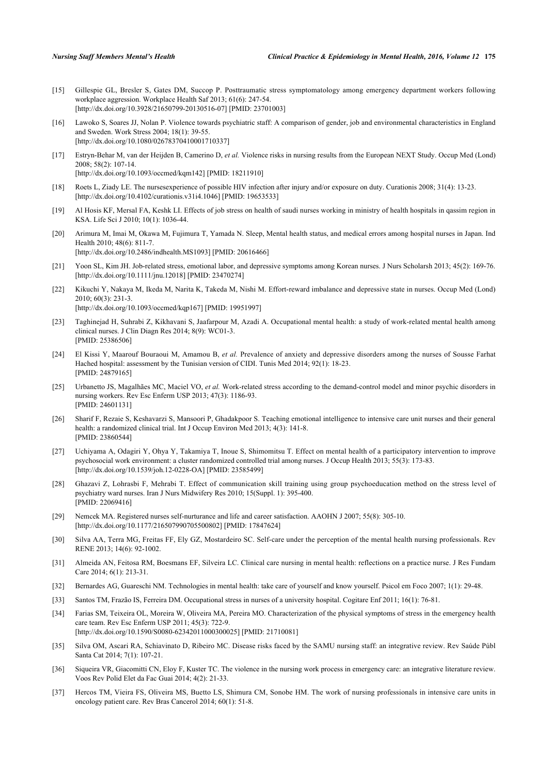- <span id="page-8-0"></span>[15] Gillespie GL, Bresler S, Gates DM, Succop P. Posttraumatic stress symptomatology among emergency department workers following workplace aggression. Workplace Health Saf 2013; 61(6): 247-54. [\[http://dx.doi.org/10.3928/21650799-20130516-07](http://dx.doi.org/10.3928/21650799-20130516-07)] [PMID: [23701003\]](http://www.ncbi.nlm.nih.gov/pubmed/23701003)
- <span id="page-8-1"></span>[16] Lawoko S, Soares JJ, Nolan P. Violence towards psychiatric staff: A comparison of gender, job and environmental characteristics in England and Sweden. Work Stress 2004; 18(1): 39-55. [\[http://dx.doi.org/10.1080/02678370410001710337\]](http://dx.doi.org/10.1080/02678370410001710337)
- <span id="page-8-2"></span>[17] Estryn-Behar M, van der Heijden B, Camerino D, *et al.* Violence risks in nursing results from the European NEXT Study. Occup Med (Lond) 2008; 58(2): 107-14.

[\[http://dx.doi.org/10.1093/occmed/kqm142](http://dx.doi.org/10.1093/occmed/kqm142)] [PMID: [18211910\]](http://www.ncbi.nlm.nih.gov/pubmed/18211910)

- <span id="page-8-3"></span>[18] Roets L, Ziady LE. The nursesexperience of possible HIV infection after injury and/or exposure on duty. Curationis 2008; 31(4): 13-23. [\[http://dx.doi.org/10.4102/curationis.v31i4.1046\]](http://dx.doi.org/10.4102/curationis.v31i4.1046) [PMID: [19653533](http://www.ncbi.nlm.nih.gov/pubmed/19653533)]
- <span id="page-8-4"></span>[19] Al Hosis KF, Mersal FA, Keshk LI. Effects of job stress on health of saudi nurses working in ministry of health hospitals in qassim region in KSA. Life Sci J 2010; 10(1): 1036-44.
- <span id="page-8-5"></span>[20] Arimura M, Imai M, Okawa M, Fujimura T, Yamada N. Sleep, Mental health status, and medical errors among hospital nurses in Japan. Ind Health 2010; 48(6): 811-7. [\[http://dx.doi.org/10.2486/indhealth.MS1093](http://dx.doi.org/10.2486/indhealth.MS1093)] [PMID: [20616466\]](http://www.ncbi.nlm.nih.gov/pubmed/20616466)
- [21] Yoon SL, Kim JH. Job-related stress, emotional labor, and depressive symptoms among Korean nurses. J Nurs Scholarsh 2013; 45(2): 169-76. [\[http://dx.doi.org/10.1111/jnu.12018](http://dx.doi.org/10.1111/jnu.12018)] [PMID: [23470274\]](http://www.ncbi.nlm.nih.gov/pubmed/23470274)
- [22] Kikuchi Y, Nakaya M, Ikeda M, Narita K, Takeda M, Nishi M. Effort-reward imbalance and depressive state in nurses. Occup Med (Lond) 2010; 60(3): 231-3. [\[http://dx.doi.org/10.1093/occmed/kqp167\]](http://dx.doi.org/10.1093/occmed/kqp167) [PMID: [19951997](http://www.ncbi.nlm.nih.gov/pubmed/19951997)]
- <span id="page-8-6"></span>[23] Taghinejad H, Suhrabi Z, Kikhavani S, Jaafarpour M, Azadi A. Occupational mental health: a study of work-related mental health among clinical nurses. J Clin Diagn Res 2014; 8(9): WC01-3. [PMID: [25386506\]](http://www.ncbi.nlm.nih.gov/pubmed/25386506)
- <span id="page-8-7"></span>[24] El Kissi Y, Maarouf Bouraoui M, Amamou B, *et al.* Prevalence of anxiety and depressive disorders among the nurses of Sousse Farhat Hached hospital: assessment by the Tunisian version of CIDI. Tunis Med 2014; 92(1): 18-23. [PMID: [24879165\]](http://www.ncbi.nlm.nih.gov/pubmed/24879165)
- <span id="page-8-8"></span>[25] Urbanetto JS, Magalhães MC, Maciel VO, *et al.* Work-related stress according to the demand-control model and minor psychic disorders in nursing workers. Rev Esc Enferm USP 2013; 47(3): 1186-93. [PMID: [24601131\]](http://www.ncbi.nlm.nih.gov/pubmed/24601131)
- <span id="page-8-9"></span>[26] Sharif F, Rezaie S, Keshavarzi S, Mansoori P, Ghadakpoor S. Teaching emotional intelligence to intensive care unit nurses and their general health: a randomized clinical trial. Int J Occup Environ Med 2013; 4(3): 141-8. [PMID: [23860544\]](http://www.ncbi.nlm.nih.gov/pubmed/23860544)
- <span id="page-8-10"></span>[27] Uchiyama A, Odagiri Y, Ohya Y, Takamiya T, Inoue S, Shimomitsu T. Effect on mental health of a participatory intervention to improve psychosocial work environment: a cluster randomized controlled trial among nurses. J Occup Health 2013; 55(3): 173-83. [\[http://dx.doi.org/10.1539/joh.12-0228-OA\]](http://dx.doi.org/10.1539/joh.12-0228-OA) [PMID: [23585499](http://www.ncbi.nlm.nih.gov/pubmed/23585499)]
- <span id="page-8-11"></span>[28] Ghazavi Z, Lohrasbi F, Mehrabi T. Effect of communication skill training using group psychoeducation method on the stress level of psychiatry ward nurses. Iran J Nurs Midwifery Res 2010; 15(Suppl. 1): 395-400. [PMID: [22069416\]](http://www.ncbi.nlm.nih.gov/pubmed/22069416)
- <span id="page-8-12"></span>[29] Nemcek MA. Registered nurses self-nurturance and life and career satisfaction. AAOHN J 2007; 55(8): 305-10. [\[http://dx.doi.org/10.1177/216507990705500802\]](http://dx.doi.org/10.1177/216507990705500802) [PMID: [17847624](http://www.ncbi.nlm.nih.gov/pubmed/17847624)]
- <span id="page-8-13"></span>[30] Silva AA, Terra MG, Freitas FF, Ely GZ, Mostardeiro SC. Self-care under the perception of the mental health nursing professionals. Rev RENE 2013; 14(6): 92-1002.
- <span id="page-8-14"></span>[31] Almeida AN, Feitosa RM, Boesmans EF, Silveira LC. Clinical care nursing in mental health: reflections on a practice nurse. J Res Fundam Care  $2014:6(1)$ :  $213-31$ .
- <span id="page-8-15"></span>[32] Bernardes AG, Guareschi NM. Technologies in mental health: take care of yourself and know yourself. Psicol em Foco 2007; 1(1): 29-48.
- <span id="page-8-16"></span>[33] Santos TM, Frazão IS, Ferreira DM. Occupational stress in nurses of a university hospital. Cogitare Enf 2011; 16(1): 76-81.
- <span id="page-8-17"></span>[34] Farias SM, Teixeira OL, Moreira W, Oliveira MA, Pereira MO. Characterization of the physical symptoms of stress in the emergency health care team. Rev Esc Enferm USP 2011; 45(3): 722-9. [\[http://dx.doi.org/10.1590/S0080-62342011000300025\]](http://dx.doi.org/10.1590/S0080-62342011000300025) [PMID: [21710081](http://www.ncbi.nlm.nih.gov/pubmed/21710081)]
- <span id="page-8-18"></span>[35] Silva OM, Ascari RA, Schiavinato D, Ribeiro MC. Disease risks faced by the SAMU nursing staff: an integrative review. Rev Saúde Públ Santa Cat 2014; 7(1): 107-21.
- <span id="page-8-19"></span>[36] Siqueira VR, Giacomitti CN, Eloy F, Kuster TC. The violence in the nursing work process in emergency care: an integrative literature review. Voos Rev Polid Elet da Fac Guai 2014; 4(2): 21-33.
- <span id="page-8-20"></span>[37] Hercos TM, Vieira FS, Oliveira MS, Buetto LS, Shimura CM, Sonobe HM. The work of nursing professionals in intensive care units in oncology patient care. Rev Bras Cancerol 2014; 60(1): 51-8.